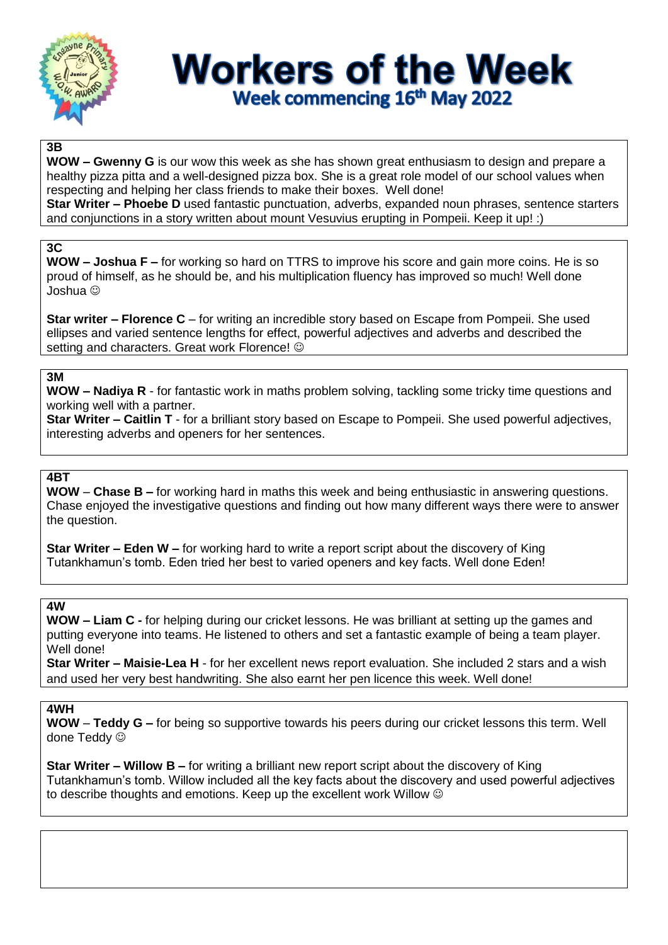

# **Workers of the Week** Week commencing 16th May 2022

### **3B**

**WOW – Gwenny G** is our wow this week as she has shown great enthusiasm to design and prepare a healthy pizza pitta and a well-designed pizza box. She is a great role model of our school values when respecting and helping her class friends to make their boxes. Well done!

**Star Writer – Phoebe D** used fantastic punctuation, adverbs, expanded noun phrases, sentence starters and conjunctions in a story written about mount Vesuvius erupting in Pompeii. Keep it up! :)

# **3C**

**WOW – Joshua F –** for working so hard on TTRS to improve his score and gain more coins. He is so proud of himself, as he should be, and his multiplication fluency has improved so much! Well done Joshua

**Star writer – Florence C** – for writing an incredible story based on Escape from Pompeii. She used ellipses and varied sentence lengths for effect, powerful adjectives and adverbs and described the setting and characters. Great work Florence!  $\odot$ 

# **3M**

**WOW – Nadiya R** - for fantastic work in maths problem solving, tackling some tricky time questions and working well with a partner.

**Star Writer – Caitlin T** - for a brilliant story based on Escape to Pompeii. She used powerful adjectives, interesting adverbs and openers for her sentences.

# **4BT**

**WOW** – **Chase B –** for working hard in maths this week and being enthusiastic in answering questions. Chase enjoyed the investigative questions and finding out how many different ways there were to answer the question.

**Star Writer – Eden W –** for working hard to write a report script about the discovery of King Tutankhamun's tomb. Eden tried her best to varied openers and key facts. Well done Eden!

### **4W**

**WOW – Liam C -** for helping during our cricket lessons. He was brilliant at setting up the games and putting everyone into teams. He listened to others and set a fantastic example of being a team player. Well done!

**Star Writer – Maisie-Lea H** - for her excellent news report evaluation. She included 2 stars and a wish and used her very best handwriting. She also earnt her pen licence this week. Well done!

### **4WH**

**WOW** – **Teddy G –** for being so supportive towards his peers during our cricket lessons this term. Well done Teddy  $\odot$ 

**Star Writer – Willow B –** for writing a brilliant new report script about the discovery of King Tutankhamun's tomb. Willow included all the key facts about the discovery and used powerful adjectives to describe thoughts and emotions. Keep up the excellent work Willow  $\odot$